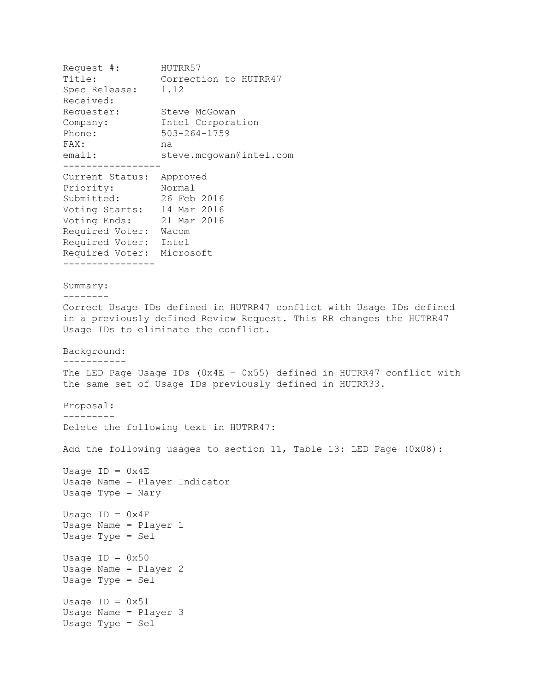```
Request #: HUTRR57
Title: Correction to HUTRR47
spec Release: 1.12
Received: 
Requester: Steve McGowan
Company: Intel Corporation
Phone: 503-264-1759
FAX: na
email: steve.mcgowan@intel.com
-----------------
Current Status: Approved
Priority: Normal
Submitted: 26 Feb 2016
Voting Starts: 14 Mar 2016
Voting Ends: 21 Mar 2016
Required Voter: Wacom
Required Voter: Intel
Required Voter: Microsoft
----------------
Summary:
--------
Correct Usage IDs defined in HUTRR47 conflict with Usage IDs defined 
in a previously defined Review Request. This RR changes the HUTRR47 
Usage IDs to eliminate the conflict.
Background:
-----------
The LED Page Usage IDs (0x4E – 0x55) defined in HUTRR47 conflict with 
the same set of Usage IDs previously defined in HUTRR33.
Proposal:
---------
Delete the following text in HUTRR47:
Add the following usages to section 11, Table 13: LED Page (0x08):
Usage ID = 0x4EUsage Name = Player Indicator
Usage Type = Nary
Usage ID = 0x4FUsage Name = Player 1
Usage Type = Sel
Usage ID = 0x50Usage Name = Player 2
Usage Type = Sel
Usage ID = 0x51Usage Name = Player 3
Usage Type = Sel
```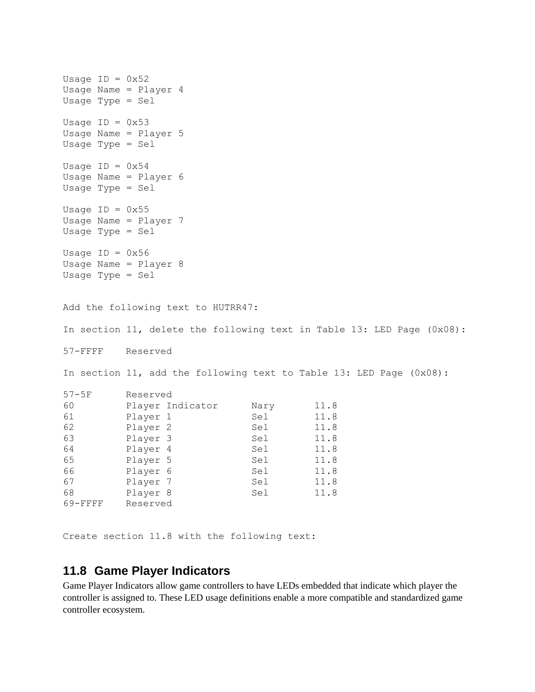Usage  $ID = 0x52$ Usage Name = Player 4 Usage Type = Sel Usage  $ID = 0x53$ Usage Name = Player 5 Usage Type = Sel Usage  $ID = 0x54$ Usage Name = Player 6 Usage Type = Sel Usage  $ID = 0x55$ Usage Name = Player 7 Usage Type = Sel Usage  $ID = 0x56$ Usage Name = Player 8 Usage Type = Sel Add the following text to HUTRR47: In section 11, delete the following text in Table 13: LED Page (0x08): 57-FFFF Reserved In section 11, add the following text to Table 13: LED Page (0x08): 57-5F Reserved 60 Player Indicator Nary 11.8 61 Player 1 Sel 11.8 62 Player 2 Sel 11.8 63 Player 3 Sel 11.8 64 Player 4 Sel 11.8 65 Player 5 Sel 11.8 66 Player 6 Sel 11.8 67 **Player 7** Sel 11.8 68 Player 8 Sel 11.8 69-FFFF Reserved

Create section 11.8 with the following text:

## **11.8 Game Player Indicators**

Game Player Indicators allow game controllers to have LEDs embedded that indicate which player the controller is assigned to. These LED usage definitions enable a more compatible and standardized game controller ecosystem.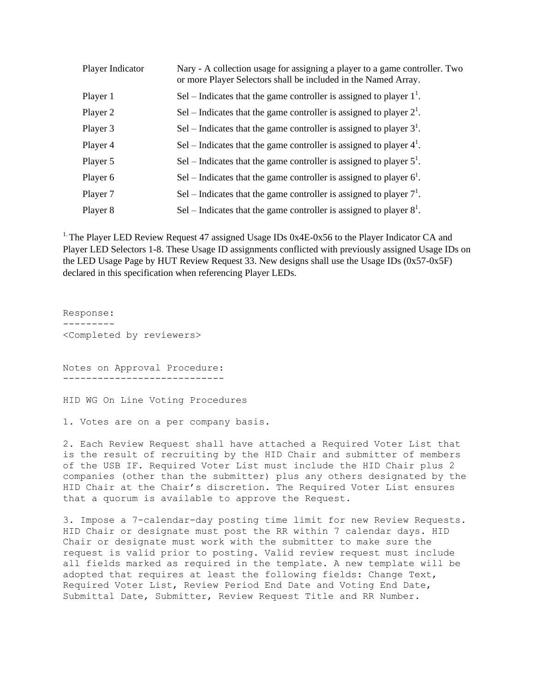| Player Indicator | Nary - A collection usage for assigning a player to a game controller. Two<br>or more Player Selectors shall be included in the Named Array. |
|------------------|----------------------------------------------------------------------------------------------------------------------------------------------|
| Player 1         | Sel – Indicates that the game controller is assigned to player $1^1$ .                                                                       |
| Player 2         | Sel – Indicates that the game controller is assigned to player $2^1$ .                                                                       |
| Player 3         | Sel – Indicates that the game controller is assigned to player $3^1$ .                                                                       |
| Player 4         | Sel – Indicates that the game controller is assigned to player $4^1$ .                                                                       |
| Player 5         | Sel – Indicates that the game controller is assigned to player $5^1$ .                                                                       |
| Player 6         | Sel – Indicates that the game controller is assigned to player $6^1$ .                                                                       |
| Player 7         | Sel – Indicates that the game controller is assigned to player $71$ .                                                                        |
| Player 8         | Sel – Indicates that the game controller is assigned to player $8^1$ .                                                                       |

<sup>1.</sup> The Player LED Review Request 47 assigned Usage IDs  $0x4E-0x56$  to the Player Indicator CA and Player LED Selectors 1-8. These Usage ID assignments conflicted with previously assigned Usage IDs on the LED Usage Page by HUT Review Request 33. New designs shall use the Usage IDs (0x57-0x5F) declared in this specification when referencing Player LEDs.

Response: --------- <Completed by reviewers> Notes on Approval Procedure: ----------------------------

HID WG On Line Voting Procedures

1. Votes are on a per company basis.

2. Each Review Request shall have attached a Required Voter List that is the result of recruiting by the HID Chair and submitter of members of the USB IF. Required Voter List must include the HID Chair plus 2 companies (other than the submitter) plus any others designated by the HID Chair at the Chair's discretion. The Required Voter List ensures that a quorum is available to approve the Request.

3. Impose a 7-calendar-day posting time limit for new Review Requests. HID Chair or designate must post the RR within 7 calendar days. HID Chair or designate must work with the submitter to make sure the request is valid prior to posting. Valid review request must include all fields marked as required in the template. A new template will be adopted that requires at least the following fields: Change Text, Required Voter List, Review Period End Date and Voting End Date, Submittal Date, Submitter, Review Request Title and RR Number.